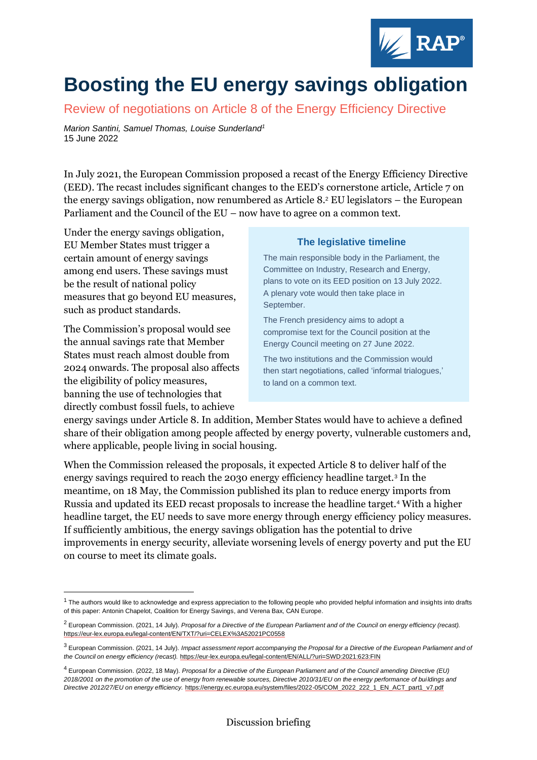

# **Boosting the EU energy savings obligation**

Review of negotiations on Article 8 of the Energy Efficiency Directive

*Marion Santini, Samuel Thomas, Louise Sunderland<sup>1</sup>* 15 June 2022

In July 2021, the European Commission proposed a recast of the Energy Efficiency Directive (EED). The recast includes significant changes to the EED's cornerstone article, Article 7 on the energy savings obligation, now renumbered as Article 8. <sup>2</sup> EU legislators – the European Parliament and the Council of the EU – now have to agree on a common text.

Under the energy savings obligation, EU Member States must trigger a certain amount of energy savings among end users. These savings must be the result of national policy measures that go beyond EU measures, such as product standards.

The Commission's proposal would see the annual savings rate that Member States must reach almost double from 2024 onwards. The proposal also affects the eligibility of policy measures, banning the use of technologies that directly combust fossil fuels, to achieve

#### **The legislative timeline**

The main responsible body in the Parliament, the Committee on Industry, Research and Energy, plans to vote on its EED position on 13 July 2022. A plenary vote would then take place in September.

The French presidency aims to adopt a compromise text for the Council position at the Energy Council meeting on 27 June 2022.

The two institutions and the Commission would then start negotiations, called 'informal trialogues,' to land on a common text.

energy savings under Article 8. In addition, Member States would have to achieve a defined share of their obligation among people affected by energy poverty, vulnerable customers and, where applicable, people living in social housing.

When the Commission released the proposals, it expected Article 8 to deliver half of the energy savings required to reach the 2030 energy efficiency headline target.<sup>3</sup> In the meantime, on 18 May, the Commission published its plan to reduce energy imports from Russia and updated its EED recast proposals to increase the headline target.<sup>4</sup> With a higher headline target, the EU needs to save more energy through energy efficiency policy measures. If sufficiently ambitious, the energy savings obligation has the potential to drive improvements in energy security, alleviate worsening levels of energy poverty and put the EU on course to meet its climate goals.

 $1$  The authors would like to acknowledge and express appreciation to the following people who provided helpful information and insights into drafts of this paper: Antonin Chapelot, Coalition for Energy Savings, and Verena Bax, CAN Europe.

<sup>2</sup> European Commission. (2021, 14 July). *Proposal for a Directive of the European Parliament and of the Council on energy efficiency (recast).*  <https://eur-lex.europa.eu/legal-content/EN/TXT/?uri=CELEX%3A52021PC0558>

<sup>3</sup> European Commission. (2021, 14 July). *Impact assessment report accompanying the Proposal for a Directive of the European Parliament and of the Council on energy efficiency (recast).* <https://eur-lex.europa.eu/legal-content/EN/ALL/?uri=SWD:2021:623:FIN>

<sup>4</sup> European Commission. (2022, 18 May). *Proposal for a Directive of the European Parliament and of the Council amending Directive (EU) 2018/2001 on the promotion of the use of energy from renewable sources, Directive 2010/31/EU on the energy performance of buildings and Directive 2012/27/EU on energy efficiency.* [https://energy.ec.europa.eu/system/files/2022-05/COM\\_2022\\_222\\_1\\_EN\\_ACT\\_part1\\_v7.pdf](https://energy.ec.europa.eu/system/files/2022-05/COM_2022_222_1_EN_ACT_part1_v7.pdf)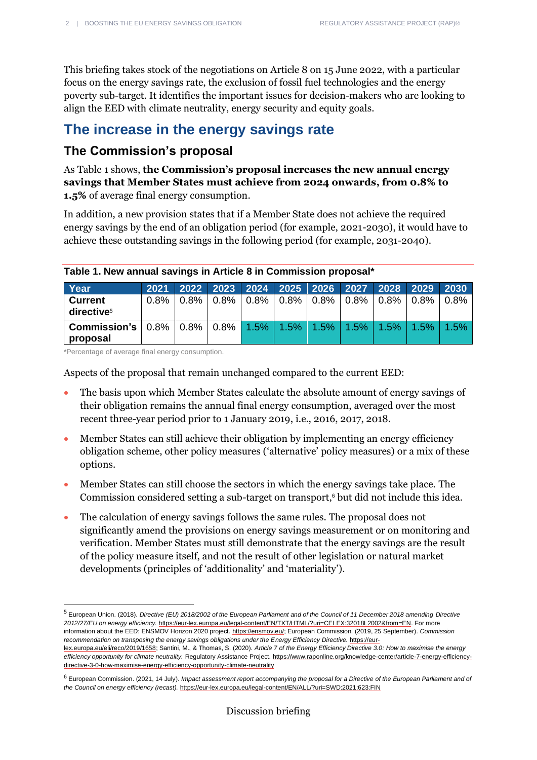This briefing takes stock of the negotiations on Article 8 on 15 June 2022, with a particular focus on the energy savings rate, the exclusion of fossil fuel technologies and the energy poverty sub-target. It identifies the important issues for decision-makers who are looking to align the EED with climate neutrality, energy security and equity goals.

# **The increase in the energy savings rate**

## **The Commission's proposal**

As Table 1 shows, **the Commission's proposal increases the new annual energy savings that Member States must achieve from 2024 onwards, from 0.8% to 1.5%** of average final energy consumption.

In addition, a new provision states that if a Member State does not achieve the required energy savings by the end of an obligation period (for example, 2021-2030), it would have to achieve these outstanding savings in the following period (for example, 2031-2040).

| Year                                                                                                                                 | 2021    |  | 2022 2023 2024 2025 2026 2027 2028 2029 2030             |  |  |         |
|--------------------------------------------------------------------------------------------------------------------------------------|---------|--|----------------------------------------------------------|--|--|---------|
| <b>Current</b><br>directive <sup>5</sup>                                                                                             | $0.8\%$ |  | $0.8\%$   0.8%   0.8%   0.8%   0.8%   0.8%   0.8%   0.8% |  |  | $0.8\%$ |
| <b>Commission's</b> $\mid 0.8\% \mid 0.8\% \mid 0.8\% \mid 1.5\% \mid 1.5\% \mid 1.5\% \mid 1.5\% \mid 1.5\% \mid 1.5\%$<br>proposal |         |  |                                                          |  |  | $1.5\%$ |

#### **Table 1. New annual savings in Article 8 in Commission proposal\***

\*Percentage of average final energy consumption.

Aspects of the proposal that remain unchanged compared to the current EED:

- The basis upon which Member States calculate the absolute amount of energy savings of their obligation remains the annual final energy consumption, averaged over the most recent three-year period prior to 1 January 2019, i.e., 2016, 2017, 2018.
- Member States can still achieve their obligation by implementing an energy efficiency obligation scheme, other policy measures ('alternative' policy measures) or a mix of these options.
- Member States can still choose the sectors in which the energy savings take place. The Commission considered setting a sub-target on transport, <sup>6</sup> but did not include this idea.
- The calculation of energy savings follows the same rules. The proposal does not significantly amend the provisions on energy savings measurement or on monitoring and verification. Member States must still demonstrate that the energy savings are the result of the policy measure itself, and not the result of other legislation or natural market developments (principles of 'additionality' and 'materiality').

<sup>5</sup> European Union. (2018). *Directive (EU) 2018/2002 of the European Parliament and of the Council of 11 December 2018 amending Directive 2012/27/EU on energy efficiency.* [https://eur-lex.europa.eu/legal-content/EN/TXT/HTML/?uri=CELEX:32018L2002&from=EN.](https://eur-lex.europa.eu/legal-content/EN/TXT/HTML/?uri=CELEX:32018L2002&from=EN) For more information about the EED: ENSMOV Horizon 2020 project[. https://ensmov.eu/;](https://ensmov.eu/) European Commission. (2019, 25 September). *Commission recommendation on transposing the energy savings obligations under the Energy Efficiency Directive.* [https://eur](https://eur-lex.europa.eu/eli/reco/2019/1658)[lex.europa.eu/eli/reco/2019/1658;](https://eur-lex.europa.eu/eli/reco/2019/1658) Santini, M., & Thomas, S. (2020). *Article 7 of the Energy Efficiency Directive 3.0: How to maximise the energy efficiency opportunity for climate neutrality.* Regulatory Assistance Project[. https://www.raponline.org/knowledge-center/article-7-energy-efficiency](https://www.raponline.org/knowledge-center/article-7-energy-efficiency-directive-3-0-how-maximise-energy-efficiency-opportunity-climate-neutrality)[directive-3-0-how-maximise-energy-efficiency-opportunity-climate-neutrality](https://www.raponline.org/knowledge-center/article-7-energy-efficiency-directive-3-0-how-maximise-energy-efficiency-opportunity-climate-neutrality)

<sup>6</sup> European Commission. (2021, 14 July). *Impact assessment report accompanying the proposal for a Directive of the European Parliament and of the Council on energy efficiency (recast).* <https://eur-lex.europa.eu/legal-content/EN/ALL/?uri=SWD:2021:623:FIN>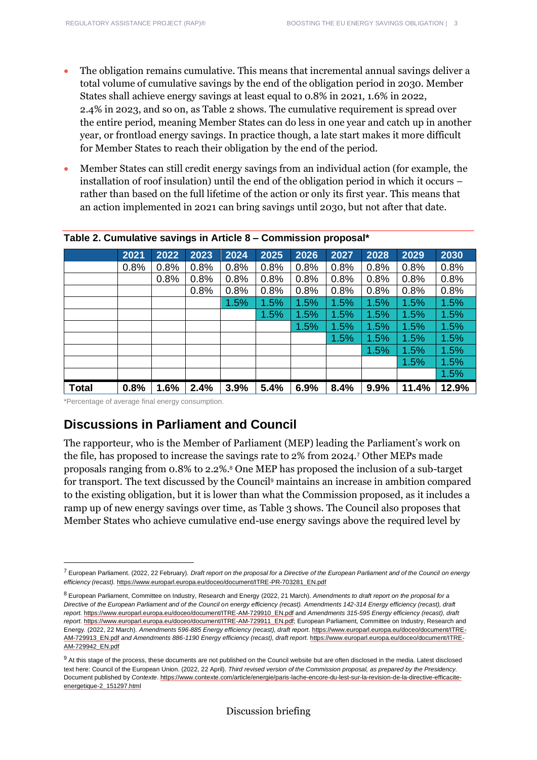- The obligation remains cumulative. This means that incremental annual savings deliver a total volume of cumulative savings by the end of the obligation period in 2030. Member States shall achieve energy savings at least equal to 0.8% in 2021, 1.6% in 2022, 2.4% in 2023, and so on, as Table 2 shows. The cumulative requirement is spread over the entire period, meaning Member States can do less in one year and catch up in another year, or frontload energy savings. In practice though, a late start makes it more difficult for Member States to reach their obligation by the end of the period.
- Member States can still credit energy savings from an individual action (for example, the installation of roof insulation) until the end of the obligation period in which it occurs – rather than based on the full lifetime of the action or only its first year. This means that an action implemented in 2021 can bring savings until 2030, but not after that date.

|              | 2021 | 2022 | 2023 | 2024 | 2025 | 2026 | 2027 | 2028 | 2029  | 2030  |
|--------------|------|------|------|------|------|------|------|------|-------|-------|
|              | 0.8% | 0.8% | 0.8% | 0.8% | 0.8% | 0.8% | 0.8% | 0.8% | 0.8%  | 0.8%  |
|              |      | 0.8% | 0.8% | 0.8% | 0.8% | 0.8% | 0.8% | 0.8% | 0.8%  | 0.8%  |
|              |      |      | 0.8% | 0.8% | 0.8% | 0.8% | 0.8% | 0.8% | 0.8%  | 0.8%  |
|              |      |      |      | 1.5% | 1.5% | 1.5% | 1.5% | 1.5% | 1.5%  | 1.5%  |
|              |      |      |      |      | 1.5% | 1.5% | 1.5% | 1.5% | 1.5%  | 1.5%  |
|              |      |      |      |      |      | 1.5% | 1.5% | 1.5% | 1.5%  | 1.5%  |
|              |      |      |      |      |      |      | 1.5% | 1.5% | 1.5%  | 1.5%  |
|              |      |      |      |      |      |      |      | 1.5% | 1.5%  | 1.5%  |
|              |      |      |      |      |      |      |      |      | 1.5%  | 1.5%  |
|              |      |      |      |      |      |      |      |      |       | 1.5%  |
| <b>Total</b> | 0.8% | 1.6% | 2.4% | 3.9% | 5.4% | 6.9% | 8.4% | 9.9% | 11.4% | 12.9% |

#### **Table 2. Cumulative savings in Article 8 – Commission proposal\***

\*Percentage of average final energy consumption.

#### **Discussions in Parliament and Council**

The rapporteur, who is the Member of Parliament (MEP) leading the Parliament's work on the file, has proposed to increase the savings rate to 2% from 2024.<sup>7</sup> Other MEPs made proposals ranging from 0.8% to 2.2%.<sup>8</sup> One MEP has proposed the inclusion of a sub-target for transport. The text discussed by the Council<sup>9</sup> maintains an increase in ambition compared to the existing obligation, but it is lower than what the Commission proposed, as it includes a ramp up of new energy savings over time, as Table 3 shows. The Council also proposes that Member States who achieve cumulative end-use energy savings above the required level by

<sup>7</sup> European Parliament. (2022, 22 February). *Draft report on the proposal for a Directive of the European Parliament and of the Council on energy efficiency (recast).* [https://www.europarl.europa.eu/doceo/document/ITRE-PR-703281\\_EN.pdf](https://www.europarl.europa.eu/doceo/document/ITRE-PR-703281_EN.pdf)

<sup>8</sup> European Parliament, Committee on Industry, Research and Energy (2022, 21 March). *Amendments to draft report on the proposal for a Directive of the European Parliament and of the Council on energy efficiency (recast). Amendments 142-314 Energy efficiency (recast), draft report.* [https://www.europarl.europa.eu/doceo/document/ITRE-AM-729910\\_EN.pdf](https://www.europarl.europa.eu/doceo/document/ITRE-AM-729910_EN.pdf) and *Amendments 315-595 Energy efficiency (recast), draft report.* [https://www.europarl.europa.eu/doceo/document/ITRE-AM-729911\\_EN.pdf;](https://www.europarl.europa.eu/doceo/document/ITRE-AM-729911_EN.pdf) European Parliament, Committee on Industry, Research and Energy. (2022, 22 March). Amendments 596-885 Energy efficiency (recast), draft report. [https://www.europarl.europa.eu/doceo/document/ITRE-](https://www.europarl.europa.eu/doceo/document/ITRE-AM-729913_EN.pdf)[AM-729913\\_EN.pdf](https://www.europarl.europa.eu/doceo/document/ITRE-AM-729913_EN.pdf) and Amendments 886-1190 Energy efficiency (recast), draft report. [https://www.europarl.europa.eu/doceo/document/ITRE-](https://www.europarl.europa.eu/doceo/document/ITRE-AM-729942_EN.pdf)[AM-729942\\_EN.pdf](https://www.europarl.europa.eu/doceo/document/ITRE-AM-729942_EN.pdf)

<sup>&</sup>lt;sup>9</sup> At this stage of the process, these documents are not published on the Council website but are often disclosed in the media. Latest disclosed text here: Council of the European Union. (2022, 22 April). *Third revised version of the Commission proposal, as prepared by the Presidency.* Document published by *Contexte*[. https://www.contexte.com/article/energie/paris-lache-encore-du-lest-sur-la-revision-de-la-directive-efficacite](https://www.contexte.com/article/energie/paris-lache-encore-du-lest-sur-la-revision-de-la-directive-efficacite-energetique-2_151297.html)[energetique-2\\_151297.html](https://www.contexte.com/article/energie/paris-lache-encore-du-lest-sur-la-revision-de-la-directive-efficacite-energetique-2_151297.html)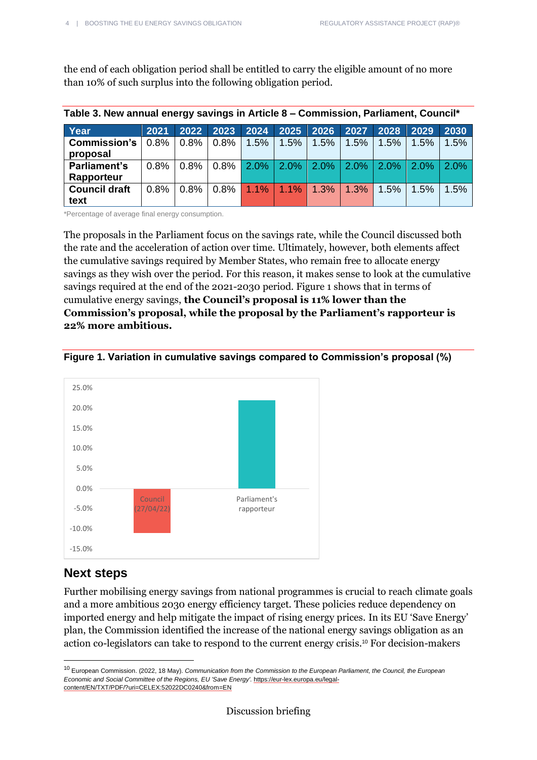the end of each obligation period shall be entitled to carry the eligible amount of no more than 10% of such surplus into the following obligation period.

| Table 3. New annual energy savings in Article 8 – Commission, Parliament, Council* |         |      |      |                               |                                     |      |         |         |         |         |
|------------------------------------------------------------------------------------|---------|------|------|-------------------------------|-------------------------------------|------|---------|---------|---------|---------|
| Year                                                                               | 2021    |      |      | 2022 2023 2024 2025 2026 2027 |                                     |      |         | 2028    | 2029    | 2030    |
| <b>Commission's</b>                                                                | 0.8%    | 0.8% | 0.8% | 1.5%                          | 1.5%                                | 1.5% | $1.5\%$ | $1.5\%$ | 1.5%    | 1.5%    |
| proposal                                                                           |         |      |      |                               |                                     |      |         |         |         |         |
| <b>Parliament's</b>                                                                | $0.8\%$ | 0.8% | 0.8% |                               | $2.0\%$   2.0%   2.0%   2.0%   2.0% |      |         |         | $2.0\%$ | $2.0\%$ |
| Rapporteur                                                                         |         |      |      |                               |                                     |      |         |         |         |         |
| <b>Council draft</b>                                                               | 0.8%    | 0.8% | 0.8% | $1.1\%$                       | $1.1\%$                             | 1.3% | 1.3%    | $1.5\%$ | 1.5%    | 1.5%    |
| text                                                                               |         |      |      |                               |                                     |      |         |         |         |         |

\*Percentage of average final energy consumption.

The proposals in the Parliament focus on the savings rate, while the Council discussed both the rate and the acceleration of action over time. Ultimately, however, both elements affect the cumulative savings required by Member States, who remain free to allocate energy savings as they wish over the period. For this reason, it makes sense to look at the cumulative savings required at the end of the 2021-2030 period. Figure 1 shows that in terms of cumulative energy savings, **the Council's proposal is 11% lower than the Commission's proposal, while the proposal by the Parliament's rapporteur is 22% more ambitious.**





## **Next steps**

Further mobilising energy savings from national programmes is crucial to reach climate goals and a more ambitious 2030 energy efficiency target. These policies reduce dependency on imported energy and help mitigate the impact of rising energy prices. In its EU 'Save Energy' plan, the Commission identified the increase of the national energy savings obligation as an action co-legislators can take to respond to the current energy crisis. <sup>10</sup> For decision-makers

<sup>10</sup> European Commission. (2022, 18 May). *Communication from the Commission to the European Parliament, the Council, the European Economic and Social Committee of the Regions, EU 'Save Energy'.* [https://eur-lex.europa.eu/legal](https://eur-lex.europa.eu/legal-content/EN/TXT/PDF/?uri=CELEX:52022DC0240&from=EN)[content/EN/TXT/PDF/?uri=CELEX:52022DC0240&from=EN](https://eur-lex.europa.eu/legal-content/EN/TXT/PDF/?uri=CELEX:52022DC0240&from=EN)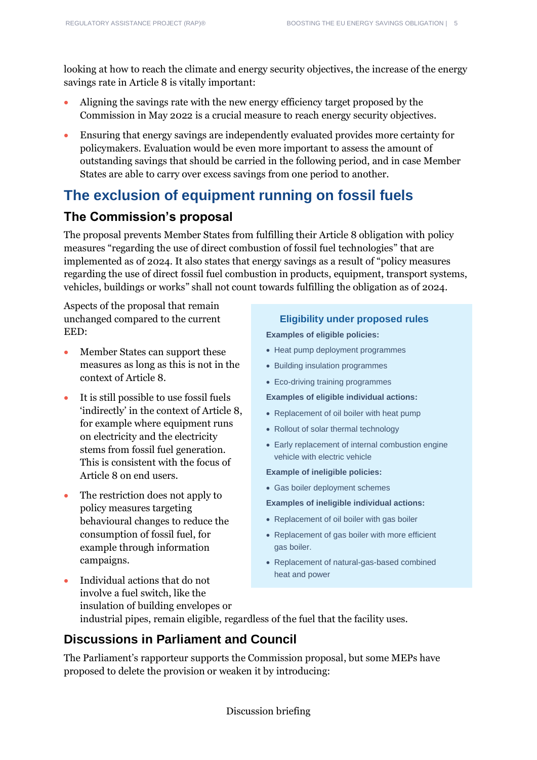looking at how to reach the climate and energy security objectives, the increase of the energy savings rate in Article 8 is vitally important:

- Aligning the savings rate with the new energy efficiency target proposed by the Commission in May 2022 is a crucial measure to reach energy security objectives.
- Ensuring that energy savings are independently evaluated provides more certainty for policymakers. Evaluation would be even more important to assess the amount of outstanding savings that should be carried in the following period, and in case Member States are able to carry over excess savings from one period to another.

# **The exclusion of equipment running on fossil fuels**

#### **The Commission's proposal**

The proposal prevents Member States from fulfilling their Article 8 obligation with policy measures "regarding the use of direct combustion of fossil fuel technologies" that are implemented as of 2024. It also states that energy savings as a result of "policy measures regarding the use of direct fossil fuel combustion in products, equipment, transport systems, vehicles, buildings or works" shall not count towards fulfilling the obligation as of 2024.

Aspects of the proposal that remain unchanged compared to the current EED:

- Member States can support these measures as long as this is not in the context of Article 8.
- It is still possible to use fossil fuels 'indirectly' in the context of Article 8, for example where equipment runs on electricity and the electricity stems from fossil fuel generation. This is consistent with the focus of Article 8 on end users.
- The restriction does not apply to policy measures targeting behavioural changes to reduce the consumption of fossil fuel, for example through information campaigns.

• Individual actions that do not

#### **Eligibility under proposed rules**

**Examples of eligible policies:**

- Heat pump deployment programmes
- Building insulation programmes
- Eco-driving training programmes

**Examples of eligible individual actions:**

- Replacement of oil boiler with heat pump
- Rollout of solar thermal technology
- Early replacement of internal combustion engine vehicle with electric vehicle
- **Example of ineligible policies:**
- Gas boiler deployment schemes
- **Examples of ineligible individual actions:**
- Replacement of oil boiler with gas boiler
- Replacement of gas boiler with more efficient gas boiler.
- Replacement of natural-gas-based combined heat and power

involve a fuel switch, like the insulation of building envelopes or industrial pipes, remain eligible, regardless of the fuel that the facility uses.

## **Discussions in Parliament and Council**

The Parliament's rapporteur supports the Commission proposal, but some MEPs have proposed to delete the provision or weaken it by introducing: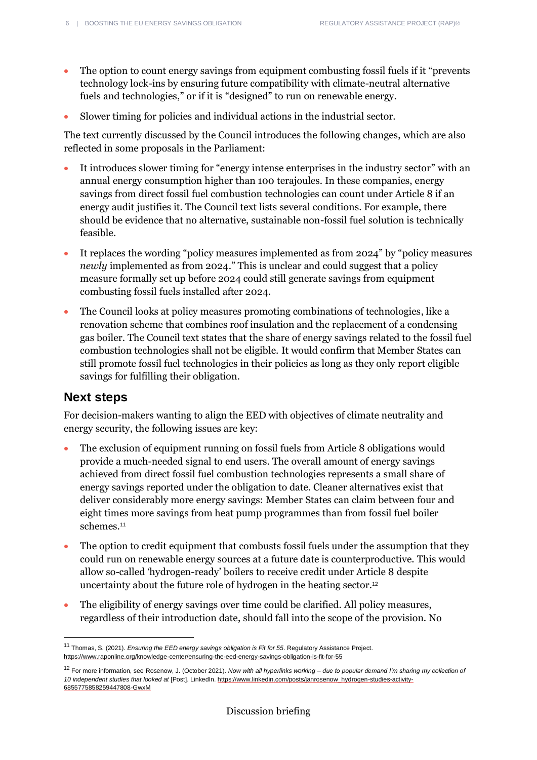- The option to count energy savings from equipment combusting fossil fuels if it "prevents" technology lock-ins by ensuring future compatibility with climate-neutral alternative fuels and technologies," or if it is "designed" to run on renewable energy.
- Slower timing for policies and individual actions in the industrial sector.

The text currently discussed by the Council introduces the following changes, which are also reflected in some proposals in the Parliament:

- It introduces slower timing for "energy intense enterprises in the industry sector" with an annual energy consumption higher than 100 terajoules. In these companies, energy savings from direct fossil fuel combustion technologies can count under Article 8 if an energy audit justifies it. The Council text lists several conditions. For example, there should be evidence that no alternative, sustainable non-fossil fuel solution is technically feasible.
- It replaces the wording "policy measures implemented as from 2024" by "policy measures *newly* implemented as from 2024." This is unclear and could suggest that a policy measure formally set up before 2024 could still generate savings from equipment combusting fossil fuels installed after 2024.
- The Council looks at policy measures promoting combinations of technologies, like a renovation scheme that combines roof insulation and the replacement of a condensing gas boiler. The Council text states that the share of energy savings related to the fossil fuel combustion technologies shall not be eligible. It would confirm that Member States can still promote fossil fuel technologies in their policies as long as they only report eligible savings for fulfilling their obligation.

#### **Next steps**

For decision-makers wanting to align the EED with objectives of climate neutrality and energy security, the following issues are key:

- The exclusion of equipment running on fossil fuels from Article 8 obligations would provide a much-needed signal to end users. The overall amount of energy savings achieved from direct fossil fuel combustion technologies represents a small share of energy savings reported under the obligation to date. Cleaner alternatives exist that deliver considerably more energy savings: Member States can claim between four and eight times more savings from heat pump programmes than from fossil fuel boiler schemes.<sup>11</sup>
- The option to credit equipment that combusts fossil fuels under the assumption that they could run on renewable energy sources at a future date is counterproductive. This would allow so-called 'hydrogen-ready' boilers to receive credit under Article 8 despite uncertainty about the future role of hydrogen in the heating sector. 12
- The eligibility of energy savings over time could be clarified. All policy measures, regardless of their introduction date, should fall into the scope of the provision. No

<sup>11</sup> Thomas, S. (2021). *Ensuring the EED energy savings obligation is Fit for 55.* Regulatory Assistance Project. [https://www.raponline.org/knowledge-center/ensuring-the-eed-energy-savings-obligation-is-fit-for-55](https://www.raponline.org/knowledge-center/ensuring-the-eed-energy-savings-obligation-is-fit-for-55/)

<sup>12</sup> For more information, see Rosenow, J. (October 2021). *Now with all hyperlinks working – due to popular demand I'm sharing my collection of 10 independent studies that looked at* [Post]. LinkedIn. [https://www.linkedin.com/posts/janrosenow\\_hydrogen-studies-activity-](https://www.linkedin.com/posts/janrosenow_hydrogen-studies-activity-6855775858259447808-GwxM)[6855775858259447808-GwxM](https://www.linkedin.com/posts/janrosenow_hydrogen-studies-activity-6855775858259447808-GwxM)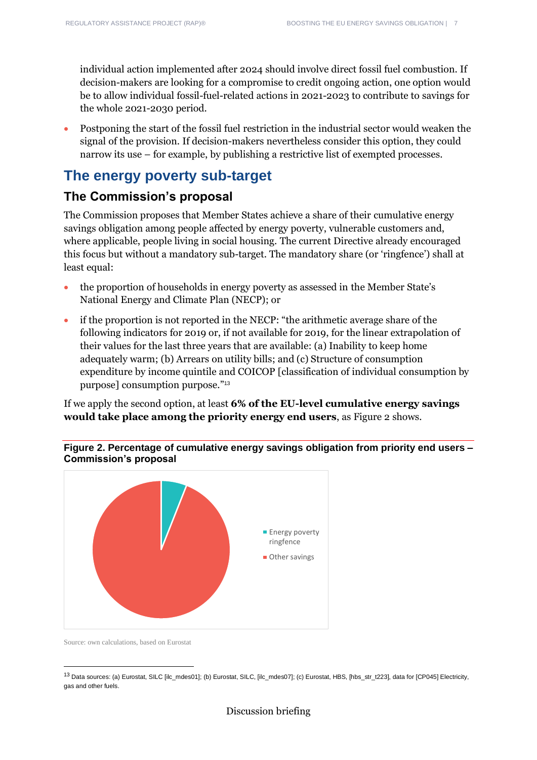individual action implemented after 2024 should involve direct fossil fuel combustion. If decision-makers are looking for a compromise to credit ongoing action, one option would be to allow individual fossil-fuel-related actions in 2021-2023 to contribute to savings for the whole 2021-2030 period.

• Postponing the start of the fossil fuel restriction in the industrial sector would weaken the signal of the provision. If decision-makers nevertheless consider this option, they could narrow its use – for example, by publishing a restrictive list of exempted processes.

# **The energy poverty sub-target**

## **The Commission's proposal**

The Commission proposes that Member States achieve a share of their cumulative energy savings obligation among people affected by energy poverty, vulnerable customers and, where applicable, people living in social housing. The current Directive already encouraged this focus but without a mandatory sub-target. The mandatory share (or 'ringfence') shall at least equal:

- the proportion of households in energy poverty as assessed in the Member State's National Energy and Climate Plan (NECP); or
- if the proportion is not reported in the NECP: "the arithmetic average share of the following indicators for 2019 or, if not available for 2019, for the linear extrapolation of their values for the last three years that are available: (a) Inability to keep home adequately warm; (b) Arrears on utility bills; and (c) Structure of consumption expenditure by income quintile and COICOP [classification of individual consumption by purpose] consumption purpose." 13

If we apply the second option, at least **6% of the EU-level cumulative energy savings would take place among the priority energy end users**, as Figure 2 shows.

**Figure 2. Percentage of cumulative energy savings obligation from priority end users – Commission's proposal**



Source: own calculations, based on Eurostat

<sup>13</sup> Data sources: (a) Eurostat, SILC [ilc\_mdes01]; (b) Eurostat, SILC, [ilc\_mdes07]; (c) Eurostat, HBS, [hbs\_str\_t223], data for [CP045] Electricity, gas and other fuels.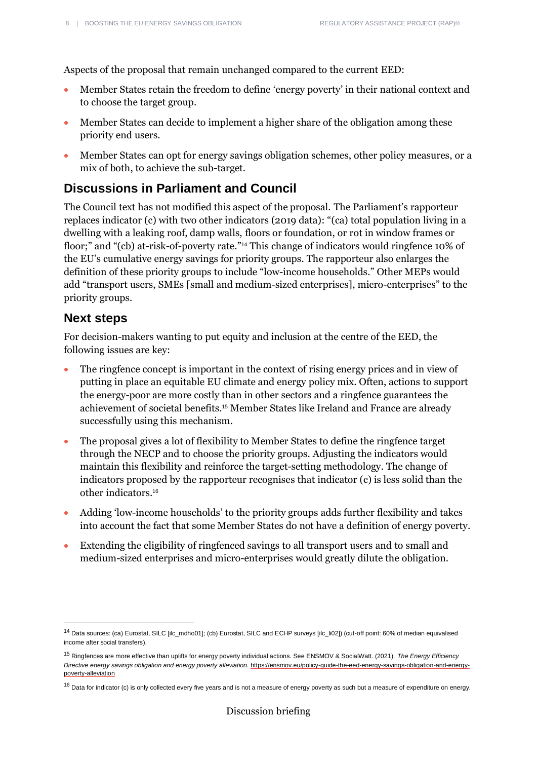Aspects of the proposal that remain unchanged compared to the current EED:

- Member States retain the freedom to define 'energy poverty' in their national context and to choose the target group.
- Member States can decide to implement a higher share of the obligation among these priority end users.
- Member States can opt for energy savings obligation schemes, other policy measures, or a mix of both, to achieve the sub-target.

### **Discussions in Parliament and Council**

The Council text has not modified this aspect of the proposal. The Parliament's rapporteur replaces indicator (c) with two other indicators (2019 data): "(ca) total population living in a dwelling with a leaking roof, damp walls, floors or foundation, or rot in window frames or floor;" and "(cb) at-risk-of-poverty rate." <sup>14</sup> This change of indicators would ringfence 10% of the EU's cumulative energy savings for priority groups. The rapporteur also enlarges the definition of these priority groups to include "low-income households." Other MEPs would add "transport users, SMEs [small and medium-sized enterprises], micro-enterprises" to the priority groups.

#### **Next steps**

For decision-makers wanting to put equity and inclusion at the centre of the EED, the following issues are key:

- The ringfence concept is important in the context of rising energy prices and in view of putting in place an equitable EU climate and energy policy mix. Often, actions to support the energy-poor are more costly than in other sectors and a ringfence guarantees the achievement of societal benefits.<sup>15</sup> Member States like Ireland and France are already successfully using this mechanism.
- The proposal gives a lot of flexibility to Member States to define the ringfence target through the NECP and to choose the priority groups. Adjusting the indicators would maintain this flexibility and reinforce the target-setting methodology. The change of indicators proposed by the rapporteur recognises that indicator (c) is less solid than the other indicators.<sup>16</sup>
- Adding 'low-income households' to the priority groups adds further flexibility and takes into account the fact that some Member States do not have a definition of energy poverty.
- Extending the eligibility of ringfenced savings to all transport users and to small and medium-sized enterprises and micro-enterprises would greatly dilute the obligation.

<sup>14</sup> Data sources: (ca) Eurostat, SILC [ilc\_mdho01]; (cb) Eurostat, SILC and ECHP surveys [ilc\_li02]) (cut-off point: 60% of median equivalised income after social transfers).

<sup>15</sup> Ringfences are more effective than uplifts for energy poverty individual actions. See ENSMOV & SocialWatt. (2021). *The Energy Efficiency Directive energy savings obligation and energy poverty alleviation.* [https://ensmov.eu/policy-guide-the-eed-energy-savings-obligation-and-energy](https://ensmov.eu/policy-guide-the-eed-energy-savings-obligation-and-energy-poverty-alleviation/)[poverty-alleviation](https://ensmov.eu/policy-guide-the-eed-energy-savings-obligation-and-energy-poverty-alleviation/)

<sup>&</sup>lt;sup>16</sup> Data for indicator (c) is only collected every five years and is not a measure of energy poverty as such but a measure of expenditure on energy.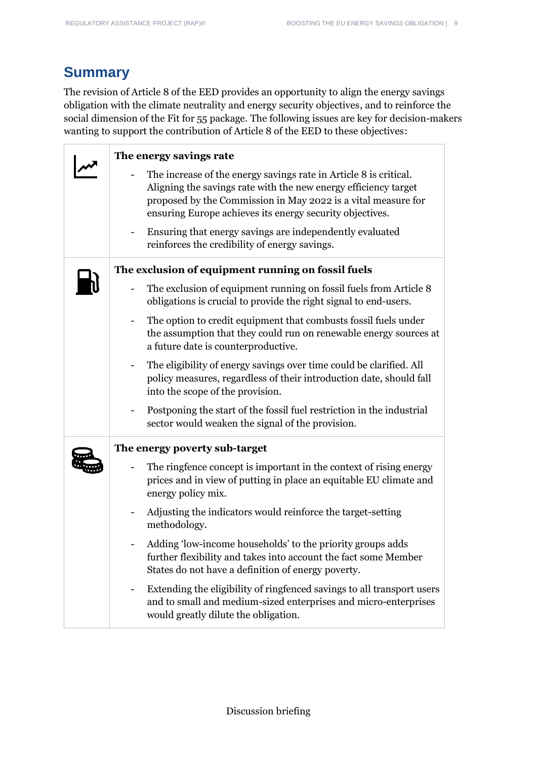# **Summary**

The revision of Article 8 of the EED provides an opportunity to align the energy savings obligation with the climate neutrality and energy security objectives, and to reinforce the social dimension of the Fit for 55 package. The following issues are key for decision-makers wanting to support the contribution of Article 8 of the EED to these objectives:

| The energy savings rate                                                                                                                                                                                                                                           |
|-------------------------------------------------------------------------------------------------------------------------------------------------------------------------------------------------------------------------------------------------------------------|
| The increase of the energy savings rate in Article 8 is critical.<br>Aligning the savings rate with the new energy efficiency target<br>proposed by the Commission in May 2022 is a vital measure for<br>ensuring Europe achieves its energy security objectives. |
| Ensuring that energy savings are independently evaluated<br>reinforces the credibility of energy savings.                                                                                                                                                         |
| The exclusion of equipment running on fossil fuels                                                                                                                                                                                                                |
| The exclusion of equipment running on fossil fuels from Article 8<br>obligations is crucial to provide the right signal to end-users.                                                                                                                             |
| The option to credit equipment that combusts fossil fuels under<br>the assumption that they could run on renewable energy sources at<br>a future date is counterproductive.                                                                                       |
| The eligibility of energy savings over time could be clarified. All<br>policy measures, regardless of their introduction date, should fall<br>into the scope of the provision.                                                                                    |
| Postponing the start of the fossil fuel restriction in the industrial<br>sector would weaken the signal of the provision.                                                                                                                                         |
| The energy poverty sub-target                                                                                                                                                                                                                                     |
| The ringfence concept is important in the context of rising energy<br>prices and in view of putting in place an equitable EU climate and<br>energy policy mix.                                                                                                    |
| Adjusting the indicators would reinforce the target-setting<br>methodology.                                                                                                                                                                                       |
| Adding 'low-income households' to the priority groups adds<br>further flexibility and takes into account the fact some Member<br>States do not have a definition of energy poverty.                                                                               |
| Extending the eligibility of ringfenced savings to all transport users<br>and to small and medium-sized enterprises and micro-enterprises<br>would greatly dilute the obligation.                                                                                 |